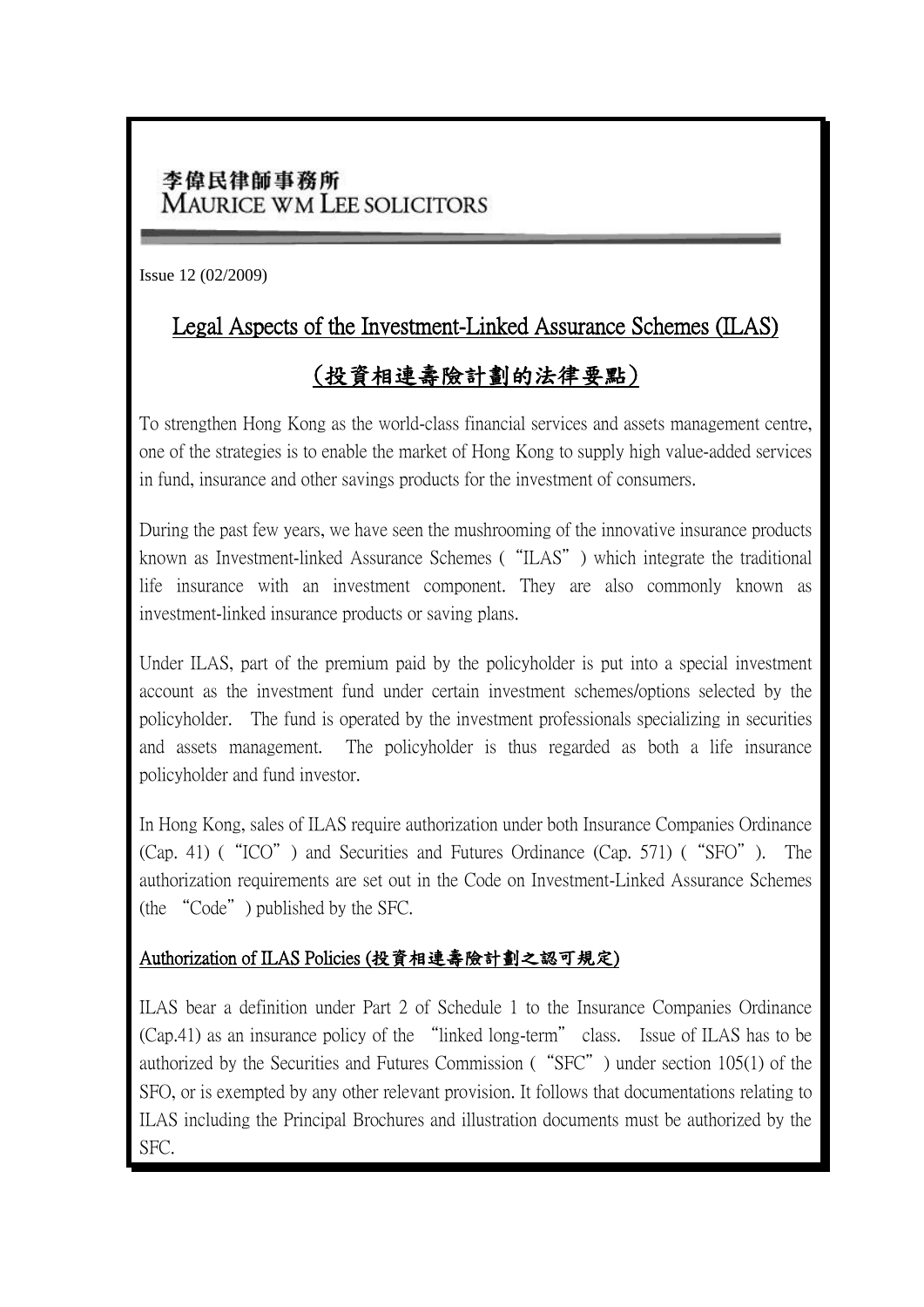## 李偉民律師事務所 **MAURICE WM LEE SOLICITORS**

Issue 12 (02/2009)

## Legal Aspects of the Investment-Linked Assurance Schemes (ILAS)

# (投資相連壽險計劃的法律要點)

To strengthen Hong Kong as the world-class financial services and assets management centre, one of the strategies is to enable the market of Hong Kong to supply high value-added services in fund, insurance and other savings products for the investment of consumers.

During the past few years, we have seen the mushrooming of the innovative insurance products known as Investment-linked Assurance Schemes ("ILAS") which integrate the traditional life insurance with an investment component. They are also commonly known as investment-linked insurance products or saving plans.

Under ILAS, part of the premium paid by the policyholder is put into a special investment account as the investment fund under certain investment schemes/options selected by the policyholder. The fund is operated by the investment professionals specializing in securities and assets management. The policyholder is thus regarded as both a life insurance policyholder and fund investor.

In Hong Kong, sales of ILAS require authorization under both Insurance Companies Ordinance (Cap. 41) ("ICO") and Securities and Futures Ordinance (Cap. 571) ("SFO"). The authorization requirements are set out in the Code on Investment-Linked Assurance Schemes (the "Code") published by the SFC.

### Authorization of ILAS Policies (投資相連壽險計劃之認可規定)

ILAS bear a definition under Part 2 of Schedule 1 to the Insurance Companies Ordinance (Cap.41) as an insurance policy of the "linked long-term" class. Issue of ILAS has to be authorized by the Securities and Futures Commission ("SFC") under section 105(1) of the SFO, or is exempted by any other relevant provision. It follows that documentations relating to ILAS including the Principal Brochures and illustration documents must be authorized by the SFC.